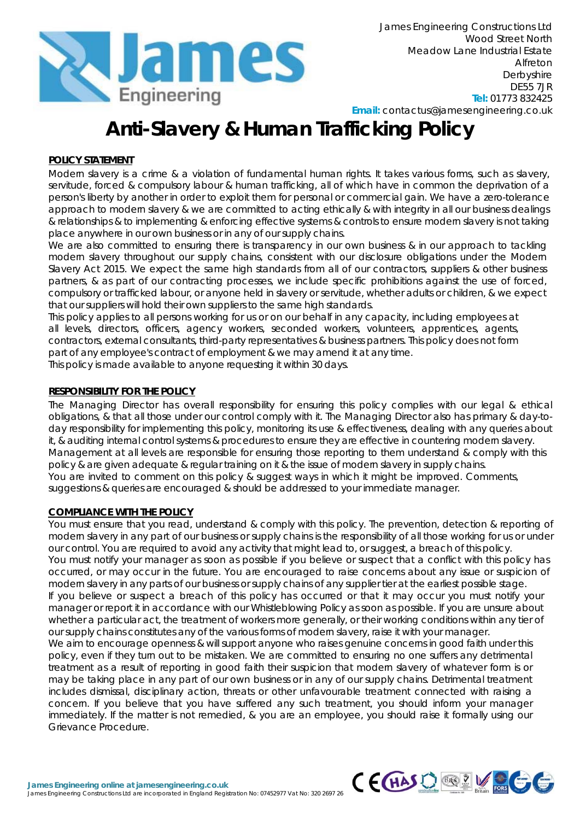

**Email:** contactus@jamesengineering.co.uk

# **Anti-Slavery & Human Trafficking Policy**

# **POLICY STATEMENT**

Modern slavery is a crime & a violation of fundamental human rights. It takes various forms, such as slavery, servitude, forced & compulsory labour & human trafficking, all of which have in common the deprivation of a person's liberty by another in order to exploit them for personal or commercial gain. We have a zero-tolerance approach to modern slavery & we are committed to acting ethically & with integrity in all our business dealings & relationships & to implementing & enforcing effective systems & controls to ensure modern slavery is not taking place anywhere in our own business or in any of our supply chains.

We are also committed to ensuring there is transparency in our own business & in our approach to tackling modern slavery throughout our supply chains, consistent with our disclosure obligations under the Modern Slavery Act 2015. We expect the same high standards from all of our contractors, suppliers & other business partners, & as part of our contracting processes, we include specific prohibitions against the use of forced, compulsory or trafficked labour, or anyone held in slavery or servitude, whether adults or children, & we expect that our suppliers will hold their own suppliers to the same high standards.

This policy applies to all persons working for us or on our behalf in any capacity, including employees at all levels, directors, officers, agency workers, seconded workers, volunteers, apprentices, agents, contractors, external consultants, third-party representatives & business partners. This policy does not form part of any employee's contract of employment & we may amend it at any time. This policy is made available to anyone requesting it within 30 days.

### **RESPONSIBILITY FOR THE POLICY**

The Managing Director has overall responsibility for ensuring this policy complies with our legal & ethical obligations, & that all those under our control comply with it. The Managing Director also has primary & day-today responsibility for implementing this policy, monitoring its use & effectiveness, dealing with any queries about it, & auditing internal control systems & procedures to ensure they are effective in countering modern slavery. Management at all levels are responsible for ensuring those reporting to them understand & comply with this policy & are given adequate & regular training on it & the issue of modern slavery in supply chains. You are invited to comment on this policy & suggest ways in which it might be improved. Comments, suggestions & queries are encouraged & should be addressed to your immediate manager.

#### **COMPLIANCE WITH THE POLICY**

You must ensure that you read, understand & comply with this policy. The prevention, detection & reporting of modern slavery in any part of our business or supply chains is the responsibility of all those working for us or under our control. You are required to avoid any activity that might lead to, or suggest, a breach of this policy. You must notify your manager as soon as possible if you believe or suspect that a conflict with this policy has occurred, or may occur in the future. You are encouraged to raise concerns about any issue or suspicion of modern slavery in any parts of our business or supply chains of any supplier tier at the earliest possible stage. If you believe or suspect a breach of this policy has occurred or that it may occur you must notify your manager or report it in accordance with our Whistleblowing Policy as soon as possible. If you are unsure about whether a particular act, the treatment of workers more generally, or their working conditions within any tier of our supply chains constitutes any of the various forms of modern slavery, raise it with your manager. We aim to encourage openness & will support anyone who raises genuine concerns in good faith under this policy, even if they turn out to be mistaken. We are committed to ensuring no one suffers any detrimental treatment as a result of reporting in good faith their suspicion that modern slavery of whatever form is or may be taking place in any part of our own business or in any of our supply chains. Detrimental treatment includes dismissal, disciplinary action, threats or other unfavourable treatment connected with raising a concern. If you believe that you have suffered any such treatment, you should inform your manager immediately. If the matter is not remedied, & you are an employee, you should raise it formally using our Grievance Procedure.